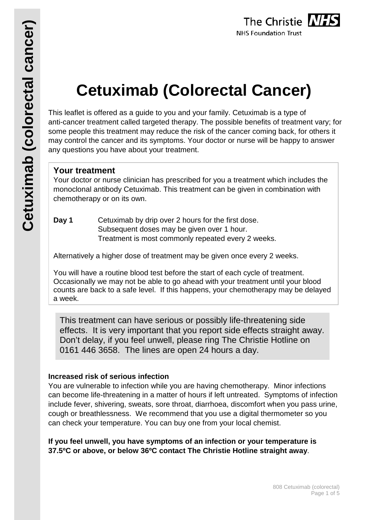# **Cetuximab (Colorectal Cancer)**

This leaflet is offered as a guide to you and your family. Cetuximab is a type of anti-cancer treatment called targeted therapy. The possible benefits of treatment vary; for some people this treatment may reduce the risk of the cancer coming back, for others it may control the cancer and its symptoms. Your doctor or nurse will be happy to answer any questions you have about your treatment.

# **Your treatment**

Your doctor or nurse clinician has prescribed for you a treatment which includes the monoclonal antibody Cetuximab. This treatment can be given in combination with chemotherapy or on its own.

**Day 1** Cetuximab by drip over 2 hours for the first dose. Subsequent doses may be given over 1 hour. Treatment is most commonly repeated every 2 weeks.

Alternatively a higher dose of treatment may be given once every 2 weeks.

You will have a routine blood test before the start of each cycle of treatment. Occasionally we may not be able to go ahead with your treatment until your blood counts are back to a safe level. If this happens, your chemotherapy may be delayed a week.

This treatment can have serious or possibly life-threatening side effects. It is very important that you report side effects straight away. Don't delay, if you feel unwell, please ring The Christie Hotline on 0161 446 3658. The lines are open 24 hours a day.

### **Increased risk of serious infection**

You are vulnerable to infection while you are having chemotherapy. Minor infections can become life-threatening in a matter of hours if left untreated. Symptoms of infection include fever, shivering, sweats, sore throat, diarrhoea, discomfort when you pass urine, cough or breathlessness. We recommend that you use a digital thermometer so you can check your temperature. You can buy one from your local chemist.

**If you feel unwell, you have symptoms of an infection or your temperature is 37.5ºC or above, or below 36ºC contact The Christie Hotline straight away**.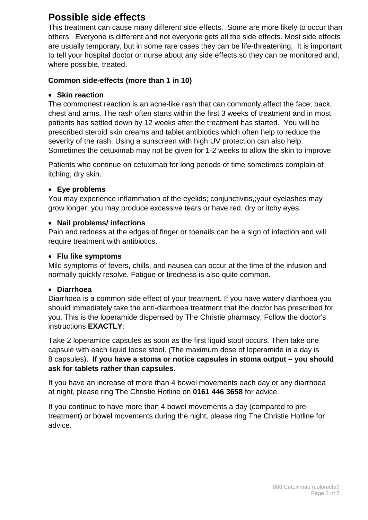# **Possible side effects**

This treatment can cause many different side effects. Some are more likely to occur than others. Everyone is different and not everyone gets all the side effects. Most side effects are usually temporary, but in some rare cases they can be life-threatening. It is important to tell your hospital doctor or nurse about any side effects so they can be monitored and, where possible, treated.

#### **Common side-effects (more than 1 in 10)**

#### • **Skin reaction**

The commonest reaction is an acne-like rash that can commonly affect the face, back, chest and arms. The rash often starts within the first 3 weeks of treatment and in most patients has settled down by 12 weeks after the treatment has started. You will be prescribed steroid skin creams and tablet antibiotics which often help to reduce the severity of the rash. Using a sunscreen with high UV protection can also help. Sometimes the cetuximab may not be given for 1-2 weeks to allow the skin to improve.

Patients who continue on cetuximab for long periods of time sometimes complain of itching, dry skin.

#### • **Eye problems**

You may experience inflammation of the eyelids; conjunctivitis,;your eyelashes may grow longer; you may produce excessive tears or have red, dry or itchy eyes.

#### • **Nail problems/ infections**

Pain and redness at the edges of finger or toenails can be a sign of infection and will require treatment with antibiotics.

#### • **Flu like symptoms**

Mild symptoms of fevers, chills, and nausea can occur at the time of the infusion and normally quickly resolve. Fatigue or tiredness is also quite common.

#### • **Diarrhoea**

Diarrhoea is a common side effect of your treatment. If you have watery diarrhoea you should immediately take the anti-diarrhoea treatment that the doctor has prescribed for you. This is the loperamide dispensed by The Christie pharmacy. Follow the doctor's instructions **EXACTLY**:

Take 2 loperamide capsules as soon as the first liquid stool occurs. Then take one capsule with each liquid loose stool. (The maximum dose of loperamide in a day is 8 capsules). **If you have a stoma or notice capsules in stoma output – you should ask for tablets rather than capsules.**

If you have an increase of more than 4 bowel movements each day or any diarrhoea at night, please ring The Christie Hotline on **0161 446 3658** for advice.

If you continue to have more than 4 bowel movements a day (compared to pretreatment) or bowel movements during the night, please ring The Christie Hotline for advice.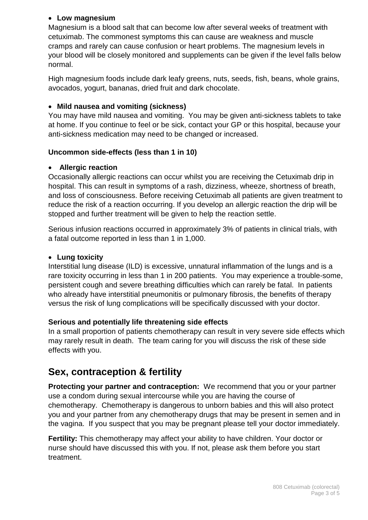#### • **Low magnesium**

Magnesium is a blood salt that can become low after several weeks of treatment with cetuximab. The commonest symptoms this can cause are weakness and muscle cramps and rarely can cause confusion or heart problems. The magnesium levels in your blood will be closely monitored and supplements can be given if the level falls below normal.

High magnesium foods include dark leafy greens, nuts, seeds, fish, beans, whole grains, avocados, yogurt, bananas, dried fruit and dark chocolate.

#### • **Mild nausea and vomiting (sickness)**

You may have mild nausea and vomiting. You may be given anti-sickness tablets to take at home. If you continue to feel or be sick, contact your GP or this hospital, because your anti-sickness medication may need to be changed or increased.

#### **Uncommon side-effects (less than 1 in 10)**

#### • **Allergic reaction**

Occasionally allergic reactions can occur whilst you are receiving the Cetuximab drip in hospital. This can result in symptoms of a rash, dizziness, wheeze, shortness of breath, and loss of consciousness. Before receiving Cetuximab all patients are given treatment to reduce the risk of a reaction occurring. If you develop an allergic reaction the drip will be stopped and further treatment will be given to help the reaction settle.

Serious infusion reactions occurred in approximately 3% of patients in clinical trials, with a fatal outcome reported in less than 1 in 1,000.

#### • **Lung toxicity**

Interstitial lung disease (ILD) is excessive, unnatural inflammation of the lungs and is a rare toxicity occurring in less than 1 in 200 patients. You may experience a trouble-some, persistent cough and severe breathing difficulties which can rarely be fatal. In patients who already have interstitial pneumonitis or pulmonary fibrosis, the benefits of therapy versus the risk of lung complications will be specifically discussed with your doctor.

#### **Serious and potentially life threatening side effects**

In a small proportion of patients chemotherapy can result in very severe side effects which may rarely result in death. The team caring for you will discuss the risk of these side effects with you.

# **Sex, contraception & fertility**

**Protecting your partner and contraception:** We recommend that you or your partner use a condom during sexual intercourse while you are having the course of chemotherapy. Chemotherapy is dangerous to unborn babies and this will also protect you and your partner from any chemotherapy drugs that may be present in semen and in the vagina. If you suspect that you may be pregnant please tell your doctor immediately.

**Fertility:** This chemotherapy may affect your ability to have children. Your doctor or nurse should have discussed this with you. If not, please ask them before you start treatment.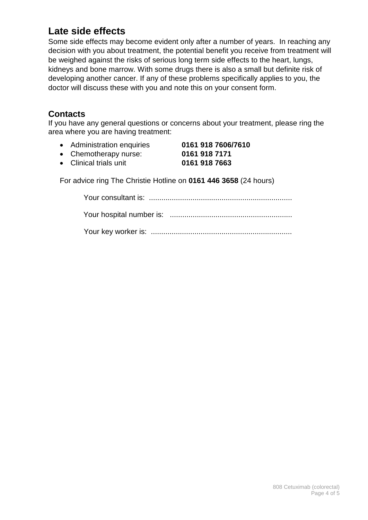# **Late side effects**

Some side effects may become evident only after a number of years. In reaching any decision with you about treatment, the potential benefit you receive from treatment will be weighed against the risks of serious long term side effects to the heart, lungs, kidneys and bone marrow. With some drugs there is also a small but definite risk of developing another cancer. If any of these problems specifically applies to you, the doctor will discuss these with you and note this on your consent form.

# **Contacts**

If you have any general questions or concerns about your treatment, please ring the area where you are having treatment:

- Administration enquiries **0161 918 7606/7610** • Chemotherapy nurse: **0161 918 7171** • Clinical trials unit **0161 918 7663**
- 

For advice ring The Christie Hotline on **0161 446 3658** (24 hours)